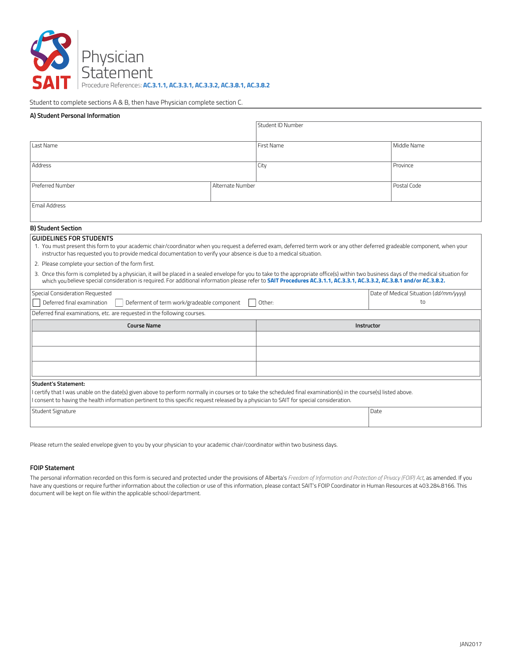

Student to complete sections A & B, then have Physician complete section C.

# **A) Student Personal Information**

|                                                                                                                                                                                                                                                                                                                                                                                                                                                                                                                                                                                                                                                                                                                                                                            |  | Student ID Number |  |                                        |
|----------------------------------------------------------------------------------------------------------------------------------------------------------------------------------------------------------------------------------------------------------------------------------------------------------------------------------------------------------------------------------------------------------------------------------------------------------------------------------------------------------------------------------------------------------------------------------------------------------------------------------------------------------------------------------------------------------------------------------------------------------------------------|--|-------------------|--|----------------------------------------|
| Last Name                                                                                                                                                                                                                                                                                                                                                                                                                                                                                                                                                                                                                                                                                                                                                                  |  | <b>First Name</b> |  | Middle Name                            |
| Address                                                                                                                                                                                                                                                                                                                                                                                                                                                                                                                                                                                                                                                                                                                                                                    |  | City              |  | Province                               |
| Preferred Number<br>Alternate Number                                                                                                                                                                                                                                                                                                                                                                                                                                                                                                                                                                                                                                                                                                                                       |  |                   |  | Postal Code                            |
| <b>Email Address</b>                                                                                                                                                                                                                                                                                                                                                                                                                                                                                                                                                                                                                                                                                                                                                       |  |                   |  |                                        |
| <b>B) Student Section</b>                                                                                                                                                                                                                                                                                                                                                                                                                                                                                                                                                                                                                                                                                                                                                  |  |                   |  |                                        |
| <b>GUIDELINES FOR STUDENTS</b><br>1. You must present this form to your academic chair/coordinator when you request a deferred exam, deferred term work or any other deferred gradeable component, when your<br>instructor has requested you to provide medical documentation to verify your absence is due to a medical situation.<br>2. Please complete your section of the form first.<br>3. Once this form is completed by a physician, it will be placed in a sealed envelope for you to take to the appropriate office(s) within two business days of the medical situation for<br>which you believe special consideration is required. For additional information please refer to SAIT Procedures AC.3.1.1, AC.3.3.1, AC.3.3.1, AC.3.3.2, AC.3.8.1 and/or AC.3.8.2. |  |                   |  |                                        |
| Special Consideration Requested                                                                                                                                                                                                                                                                                                                                                                                                                                                                                                                                                                                                                                                                                                                                            |  |                   |  | Date of Medical Situation (dd/mm/yyyy) |
| Deferred final examination<br>Deferment of term work/gradeable component                                                                                                                                                                                                                                                                                                                                                                                                                                                                                                                                                                                                                                                                                                   |  | Other:            |  | to                                     |
| Deferred final examinations, etc. are requested in the following courses.                                                                                                                                                                                                                                                                                                                                                                                                                                                                                                                                                                                                                                                                                                  |  |                   |  |                                        |
| <b>Course Name</b>                                                                                                                                                                                                                                                                                                                                                                                                                                                                                                                                                                                                                                                                                                                                                         |  | Instructor        |  |                                        |
|                                                                                                                                                                                                                                                                                                                                                                                                                                                                                                                                                                                                                                                                                                                                                                            |  |                   |  |                                        |
|                                                                                                                                                                                                                                                                                                                                                                                                                                                                                                                                                                                                                                                                                                                                                                            |  |                   |  |                                        |
|                                                                                                                                                                                                                                                                                                                                                                                                                                                                                                                                                                                                                                                                                                                                                                            |  |                   |  |                                        |
|                                                                                                                                                                                                                                                                                                                                                                                                                                                                                                                                                                                                                                                                                                                                                                            |  |                   |  |                                        |
| <b>Student's Statement:</b><br>l certify that I was unable on the date(s) given above to perform normally in courses or to take the scheduled final examination(s) in the course(s) listed above.                                                                                                                                                                                                                                                                                                                                                                                                                                                                                                                                                                          |  |                   |  |                                        |
| I consent to having the health information pertinent to this specific request released by a physician to SAIT for special consideration.                                                                                                                                                                                                                                                                                                                                                                                                                                                                                                                                                                                                                                   |  |                   |  |                                        |
| Student Signature                                                                                                                                                                                                                                                                                                                                                                                                                                                                                                                                                                                                                                                                                                                                                          |  |                   |  | Date                                   |

Please return the sealed envelope given to you by your physician to your academic chair/coordinator within two business days.

### **FOIP Statement**

The personal information recorded on this form is secured and protected under the provisions of Alberta's *Freedom of Information and Protection of Privacy (FOIP) Act*, as amended. If you have any questions or require further information about the collection or use of this information, please contact SAIT's FOIP Coordinator in Human Resources at 403.284.8166. This document will be kept on file within the applicable school/department.